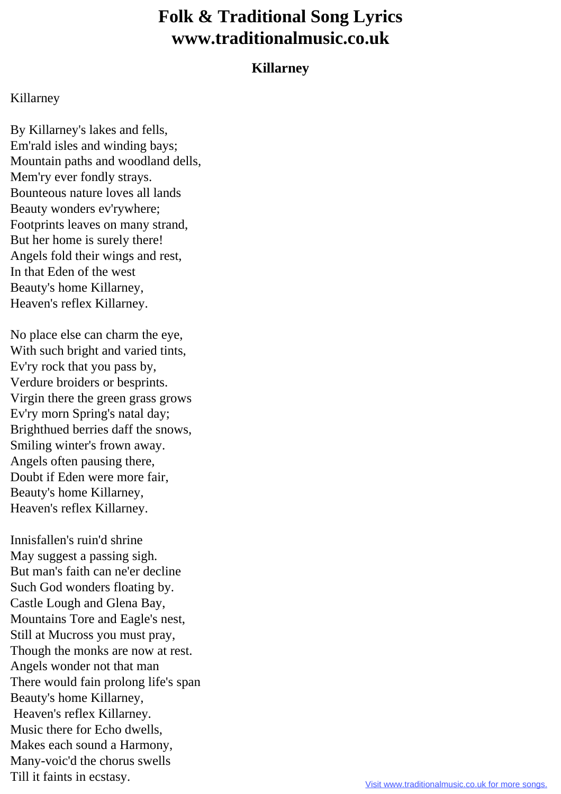## **Folk & Traditional Song Lyrics www.traditionalmusic.co.uk**

## **Killarney**

## Killarney

By Killarney's lakes and fells, Em'rald isles and winding bays; Mountain paths and woodland dells, Mem'ry ever fondly strays. Bounteous nature loves all lands Beauty wonders ev'rywhere; Footprints leaves on many strand, But her home is surely there! Angels fold their wings and rest, In that Eden of the west Beauty's home Killarney, Heaven's reflex Killarney.

No place else can charm the eye, With such bright and varied tints, Ev'ry rock that you pass by, Verdure broiders or besprints. Virgin there the green grass grows Ev'ry morn Spring's natal day; Brighthued berries daff the snows, Smiling winter's frown away. Angels often pausing there, Doubt if Eden were more fair, Beauty's home Killarney, Heaven's reflex Killarney.

Innisfallen's ruin'd shrine May suggest a passing sigh. But man's faith can ne'er decline Such God wonders floating by. Castle Lough and Glena Bay, Mountains Tore and Eagle's nest, Still at Mucross you must pray, Though the monks are now at rest. Angels wonder not that man There would fain prolong life's span Beauty's home Killarney, Heaven's reflex Killarney. Music there for Echo dwells, Makes each sound a Harmony, Many-voic'd the chorus swells Till it faints in ecstasy.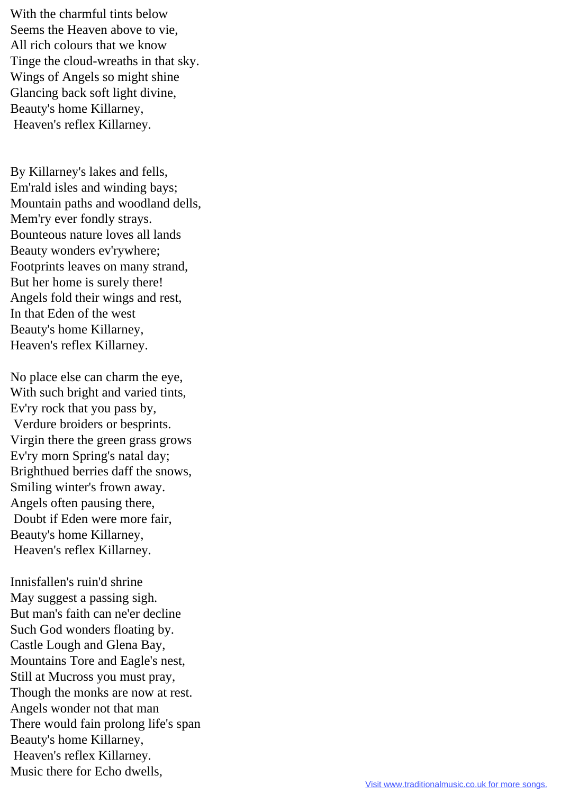With the charmful tints below Seems the Heaven above to vie, All rich colours that we know Tinge the cloud-wreaths in that sky. Wings of Angels so might shine Glancing back soft light divine, Beauty's home Killarney, Heaven's reflex Killarney.

By Killarney's lakes and fells, Em'rald isles and winding bays; Mountain paths and woodland dells, Mem'ry ever fondly strays. Bounteous nature loves all lands Beauty wonders ev'rywhere; Footprints leaves on many strand, But her home is surely there! Angels fold their wings and rest, In that Eden of the west Beauty's home Killarney, Heaven's reflex Killarney.

No place else can charm the eye, With such bright and varied tints, Ev'ry rock that you pass by, Verdure broiders or besprints. Virgin there the green grass grows Ev'ry morn Spring's natal day; Brighthued berries daff the snows, Smiling winter's frown away. Angels often pausing there, Doubt if Eden were more fair, Beauty's home Killarney, Heaven's reflex Killarney.

Innisfallen's ruin'd shrine May suggest a passing sigh. But man's faith can ne'er decline Such God wonders floating by. Castle Lough and Glena Bay, Mountains Tore and Eagle's nest, Still at Mucross you must pray, Though the monks are now at rest. Angels wonder not that man There would fain prolong life's span Beauty's home Killarney, Heaven's reflex Killarney. Music there for Echo dwells,